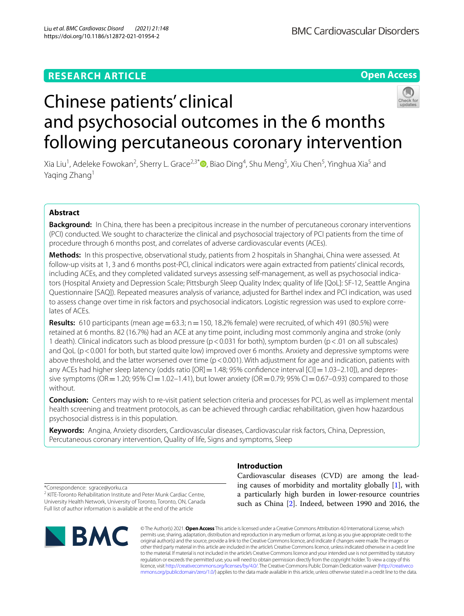# **RESEARCH ARTICLE**

**Open Access**



Xia Liu<sup>1</sup>[,](http://orcid.org/0000-0001-7063-3610) Adeleke Fowokan<sup>2</sup>, Sherry L. Grace<sup>2,3\*</sup>®, Biao Ding<sup>4</sup>, Shu Meng<sup>5</sup>, Xiu Chen<sup>5</sup>, Yinghua Xia<sup>5</sup> and Yaqing Zhang<sup>1</sup>

## **Abstract**

**Background:** In China, there has been a precipitous increase in the number of percutaneous coronary interventions (PCI) conducted. We sought to characterize the clinical and psychosocial trajectory of PCI patients from the time of procedure through 6 months post, and correlates of adverse cardiovascular events (ACEs).

**Methods:** In this prospective, observational study, patients from 2 hospitals in Shanghai, China were assessed. At follow-up visits at 1, 3 and 6 months post-PCI, clinical indicators were again extracted from patients' clinical records, including ACEs, and they completed validated surveys assessing self-management, as well as psychosocial indicators (Hospital Anxiety and Depression Scale; Pittsburgh Sleep Quality Index; quality of life [QoL]: SF-12, Seattle Angina Questionnaire [SAQ]). Repeated measures analysis of variance, adjusted for Barthel index and PCI indication, was used to assess change over time in risk factors and psychosocial indicators. Logistic regression was used to explore correlates of ACEs.

**Results:** 610 participants (mean  $age = 63.3$ ; n = 150, 18.2% female) were recruited, of which 491 (80.5%) were retained at 6 months. 82 (16.7%) had an ACE at any time point, including most commonly angina and stroke (only 1 death). Clinical indicators such as blood pressure (p<0.031 for both), symptom burden (p<.01 on all subscales) and QoL (p<0.001 for both, but started quite low) improved over 6 months. Anxiety and depressive symptoms were above threshold, and the latter worsened over time  $(p < 0.001)$ . With adjustment for age and indication, patients with any ACEs had higher sleep latency (odds ratio  $[OR] = 1.48$ ; 95% confidence interval  $[Cl] = 1.03-2.10$ ]), and depressive symptoms ( $OR = 1.20$ ;  $95\%$   $Cl = 1.02 - 1.41$ ), but lower anxiety ( $OR = 0.79$ ;  $95\%$   $Cl = 0.67 - 0.93$ ) compared to those without.

**Conclusion:** Centers may wish to re-visit patient selection criteria and processes for PCI, as well as implement mental health screening and treatment protocols, as can be achieved through cardiac rehabilitation, given how hazardous psychosocial distress is in this population.

**Keywords:** Angina, Anxiety disorders, Cardiovascular diseases, Cardiovascular risk factors, China, Depression, Percutaneous coronary intervention, Quality of life, Signs and symptoms, Sleep

\*Correspondence: sgrace@yorku.ca <sup>2</sup> KITE-Toronto Rehabilitation Institute and Peter Munk Cardiac Centre, University Health Network, University of Toronto, Toronto, ON, Canada Full list of author information is available at the end of the article



## **Introduction**

Cardiovascular diseases (CVD) are among the leading causes of morbidity and mortality globally [\[1](#page-10-0)], with a particularly high burden in lower-resource countries such as China [\[2\]](#page-10-1). Indeed, between 1990 and 2016, the

© The Author(s) 2021. **Open Access** This article is licensed under a Creative Commons Attribution 4.0 International License, which permits use, sharing, adaptation, distribution and reproduction in any medium or format, as long as you give appropriate credit to the original author(s) and the source, provide a link to the Creative Commons licence, and indicate if changes were made. The images or other third party material in this article are included in the article's Creative Commons licence, unless indicated otherwise in a credit line to the material. If material is not included in the article's Creative Commons licence and your intended use is not permitted by statutory regulation or exceeds the permitted use, you will need to obtain permission directly from the copyright holder. To view a copy of this licence, visit [http://creativecommons.org/licenses/by/4.0/.](http://creativecommons.org/licenses/by/4.0/) The Creative Commons Public Domain Dedication waiver ([http://creativeco](http://creativecommons.org/publicdomain/zero/1.0/) [mmons.org/publicdomain/zero/1.0/](http://creativecommons.org/publicdomain/zero/1.0/)) applies to the data made available in this article, unless otherwise stated in a credit line to the data.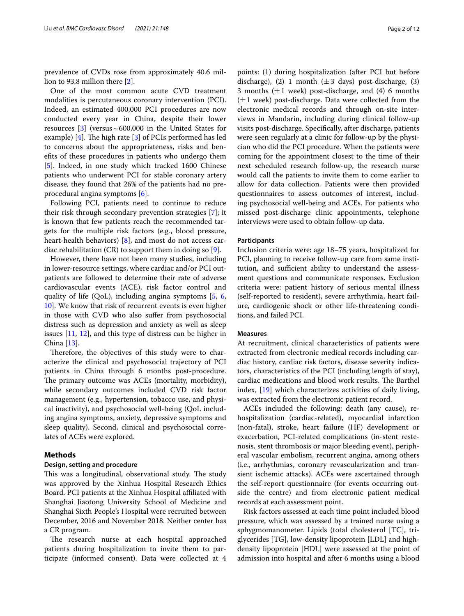prevalence of CVDs rose from approximately 40.6 million to 93.8 million there [[2\]](#page-10-1).

One of the most common acute CVD treatment modalities is percutaneous coronary intervention (PCI). Indeed, an estimated 400,000 PCI procedures are now conducted every year in China, despite their lower resources  $[3]$  $[3]$  (versus ~ 600,000 in the United States for example) [[4\]](#page-10-3). The high rate  $[3]$  $[3]$  of PCIs performed has led to concerns about the appropriateness, risks and benefts of these procedures in patients who undergo them [[5\]](#page-10-4). Indeed, in one study which tracked 1600 Chinese patients who underwent PCI for stable coronary artery disease, they found that 26% of the patients had no preprocedural angina symptoms [[6\]](#page-10-5).

Following PCI, patients need to continue to reduce their risk through secondary prevention strategies [\[7](#page-10-6)]; it is known that few patients reach the recommended targets for the multiple risk factors (e.g., blood pressure, heart-health behaviors) [\[8](#page-10-7)], and most do not access cardiac rehabilitation (CR) to support them in doing so [[9\]](#page-10-8).

However, there have not been many studies, including in lower-resource settings, where cardiac and/or PCI outpatients are followed to determine their rate of adverse cardiovascular events (ACE), risk factor control and quality of life (QoL), including angina symptoms [\[5](#page-10-4), [6](#page-10-5), [10\]](#page-10-9). We know that risk of recurrent events is even higher in those with CVD who also sufer from psychosocial distress such as depression and anxiety as well as sleep issues [[11,](#page-10-10) [12\]](#page-10-11), and this type of distress can be higher in China [[13\]](#page-10-12).

Therefore, the objectives of this study were to characterize the clinical and psychosocial trajectory of PCI patients in China through 6 months post-procedure. The primary outcome was ACEs (mortality, morbidity), while secondary outcomes included CVD risk factor management (e.g., hypertension, tobacco use, and physical inactivity), and psychosocial well-being (QoL including angina symptoms, anxiety, depressive symptoms and sleep quality). Second, clinical and psychosocial correlates of ACEs were explored.

## **Methods**

## **Design, setting and procedure**

This was a longitudinal, observational study. The study was approved by the Xinhua Hospital Research Ethics Board. PCI patients at the Xinhua Hospital afliated with Shanghai Jiaotong University School of Medicine and Shanghai Sixth People's Hospital were recruited between December, 2016 and November 2018. Neither center has a CR program.

The research nurse at each hospital approached patients during hospitalization to invite them to participate (informed consent). Data were collected at 4 points: (1) during hospitalization (after PCI but before discharge), (2) 1 month ( $\pm 3$  days) post-discharge, (3) 3 months  $(\pm 1$  week) post-discharge, and  $(4)$  6 months  $(\pm 1$  week) post-discharge. Data were collected from the electronic medical records and through on-site interviews in Mandarin, including during clinical follow-up visits post-discharge. Specifcally, after discharge, patients were seen regularly at a clinic for follow-up by the physician who did the PCI procedure. When the patients were coming for the appointment closest to the time of their next scheduled research follow-up, the research nurse would call the patients to invite them to come earlier to allow for data collection. Patients were then provided questionnaires to assess outcomes of interest, including psychosocial well-being and ACEs. For patients who missed post-discharge clinic appointments, telephone interviews were used to obtain follow-up data.

## **Participants**

Inclusion criteria were: age 18–75 years, hospitalized for PCI, planning to receive follow-up care from same institution, and sufficient ability to understand the assessment questions and communicate responses. Exclusion criteria were: patient history of serious mental illness (self-reported to resident), severe arrhythmia, heart failure, cardiogenic shock or other life-threatening conditions, and failed PCI.

## **Measures**

At recruitment, clinical characteristics of patients were extracted from electronic medical records including cardiac history, cardiac risk factors, disease severity indicators, characteristics of the PCI (including length of stay), cardiac medications and blood work results. The Barthel index, [\[19](#page-11-0)] which characterizes activities of daily living, was extracted from the electronic patient record.

ACEs included the following: death (any cause), rehospitalization (cardiac-related), myocardial infarction (non-fatal), stroke, heart failure (HF) development or exacerbation, PCI-related complications (in-stent restenosis, stent thrombosis or major bleeding event), peripheral vascular embolism, recurrent angina, among others (i.e., arrhythmias, coronary revascularization and transient ischemic attacks). ACEs were ascertained through the self-report questionnaire (for events occurring outside the centre) and from electronic patient medical records at each assessment point.

Risk factors assessed at each time point included blood pressure, which was assessed by a trained nurse using a sphygmomanometer. Lipids (total cholesterol [TC], triglycerides [TG], low-density lipoprotein [LDL] and highdensity lipoprotein [HDL] were assessed at the point of admission into hospital and after 6 months using a blood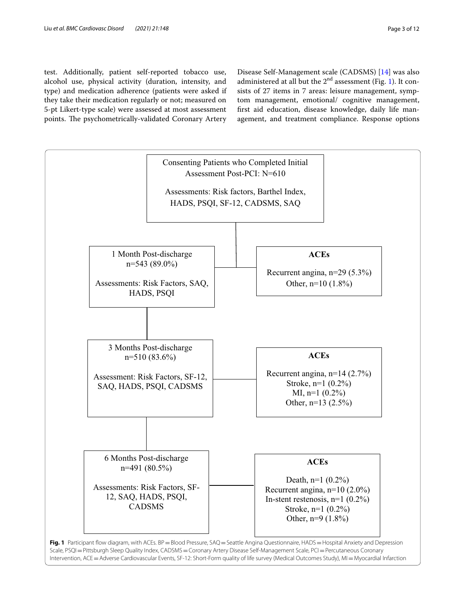test. Additionally, patient self-reported tobacco use, alcohol use, physical activity (duration, intensity, and type) and medication adherence (patients were asked if they take their medication regularly or not; measured on 5-pt Likert-type scale) were assessed at most assessment points. The psychometrically-validated Coronary Artery

Disease Self-Management scale (CADSMS) [[14\]](#page-10-13) was also administered at all but the  $2<sup>nd</sup>$  assessment (Fig. [1](#page-2-0)). It consists of 27 items in 7 areas: leisure management, symptom management, emotional/ cognitive management, frst aid education, disease knowledge, daily life management, and treatment compliance. Response options

<span id="page-2-0"></span>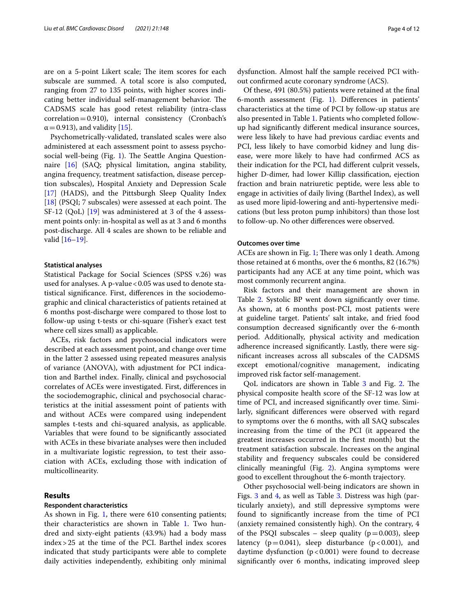are on a 5-point Likert scale; The item scores for each subscale are summed. A total score is also computed, ranging from 27 to 135 points, with higher scores indicating better individual self-management behavior. The CADSMS scale has good retest reliability (intra-class correlation=0.910), internal consistency (Cronbach's  $\alpha$  = 0.913), and validity [[15\]](#page-10-14).

Psychometrically-validated, translated scales were also administered at each assessment point to assess psycho-social well-being (Fig. [1](#page-2-0)). The Seattle Angina Questionnaire [\[16](#page-10-15)] (SAQ; physical limitation, angina stability, angina frequency, treatment satisfaction, disease perception subscales), Hospital Anxiety and Depression Scale [[17\]](#page-10-16) (HADS), and the Pittsburgh Sleep Quality Index  $[18]$  $[18]$  (PSQI; 7 subscales) were assessed at each point. The SF-12 (QoL) [\[19\]](#page-11-0) was administered at 3 of the 4 assessment points only: in-hospital as well as at 3 and 6 months post-discharge. All 4 scales are shown to be reliable and valid [[16–](#page-10-15)[19](#page-11-0)].

### **Statistical analyses**

Statistical Package for Social Sciences (SPSS v.26) was used for analyses. A p-value < 0.05 was used to denote statistical signifcance. First, diferences in the sociodemographic and clinical characteristics of patients retained at 6 months post-discharge were compared to those lost to follow-up using t-tests or chi-square (Fisher's exact test where cell sizes small) as applicable.

ACEs, risk factors and psychosocial indicators were described at each assessment point, and change over time in the latter 2 assessed using repeated measures analysis of variance (ANOVA), with adjustment for PCI indication and Barthel index. Finally, clinical and psychosocial correlates of ACEs were investigated. First, diferences in the sociodemographic, clinical and psychosocial characteristics at the initial assessment point of patients with and without ACEs were compared using independent samples t-tests and chi-squared analysis, as applicable. Variables that were found to be signifcantly associated with ACEs in these bivariate analyses were then included in a multivariate logistic regression, to test their association with ACEs, excluding those with indication of multicollinearity.

## **Results**

## **Respondent characteristics**

As shown in Fig. [1,](#page-2-0) there were 610 consenting patients; their characteristics are shown in Table [1.](#page-4-0) Two hundred and sixty-eight patients (43.9%) had a body mass index>25 at the time of the PCI. Barthel index scores indicated that study participants were able to complete daily activities independently, exhibiting only minimal

dysfunction. Almost half the sample received PCI without confrmed acute coronary syndrome (ACS).

Of these, 491 (80.5%) patients were retained at the fnal 6-month assessment (Fig. [1\)](#page-2-0). Diferences in patients' characteristics at the time of PCI by follow-up status are also presented in Table [1](#page-4-0). Patients who completed followup had signifcantly diferent medical insurance sources, were less likely to have had previous cardiac events and PCI, less likely to have comorbid kidney and lung disease, were more likely to have had confrmed ACS as their indication for the PCI, had diferent culprit vessels, higher D-dimer, had lower Killip classifcation, ejection fraction and brain natriuretic peptide, were less able to engage in activities of daily living (Barthel Index), as well as used more lipid-lowering and anti-hypertensive medications (but less proton pump inhibitors) than those lost to follow-up. No other diferences were observed.

## **Outcomes over time**

ACEs are shown in Fig. [1](#page-2-0); There was only 1 death. Among those retained at 6 months, over the 6 months, 82 (16.7%) participants had any ACE at any time point, which was most commonly recurrent angina.

Risk factors and their management are shown in Table [2.](#page-6-0) Systolic BP went down significantly over time. As shown, at 6 months post-PCI, most patients were at guideline target. Patients' salt intake, and fried food consumption decreased signifcantly over the 6-month period. Additionally, physical activity and medication adherence increased signifcantly. Lastly, there were signifcant increases across all subscales of the CADSMS except emotional/cognitive management, indicating improved risk factor self-management.

OoL indicators are shown in Table [3](#page-7-0) and Fig. [2](#page-7-1). The physical composite health score of the SF-12 was low at time of PCI, and increased signifcantly over time. Similarly, signifcant diferences were observed with regard to symptoms over the 6 months, with all SAQ subscales increasing from the time of the PCI (it appeared the greatest increases occurred in the frst month) but the treatment satisfaction subscale. Increases on the anginal stability and frequency subscales could be considered clinically meaningful (Fig. [2](#page-7-1)). Angina symptoms were good to excellent throughout the 6-month trajectory.

Other psychosocial well-being indicators are shown in Figs. [3](#page-8-0) and [4](#page-8-1), as well as Table [3.](#page-7-0) Distress was high (particularly anxiety), and still depressive symptoms were found to signifcantly increase from the time of PCI (anxiety remained consistently high). On the contrary, 4 of the PSQI subscales – sleep quality ( $p=0.003$ ), sleep latency ( $p=0.041$ ), sleep disturbance ( $p<0.001$ ), and daytime dysfunction  $(p < 0.001)$  were found to decrease signifcantly over 6 months, indicating improved sleep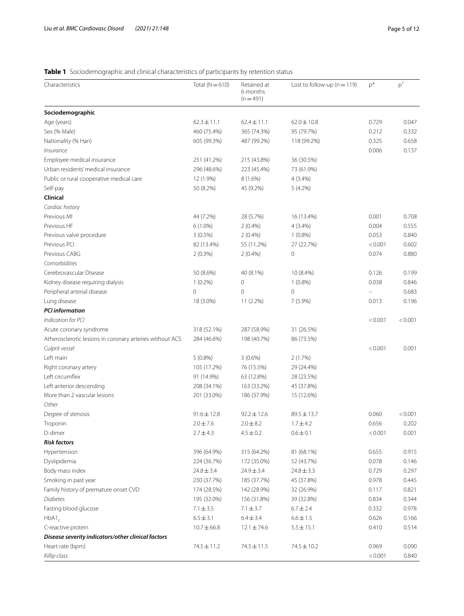## <span id="page-4-0"></span>**Table 1** Sociodemographic and clinical characteristics of participants by retention status

| Characteristics                                          | Total $(N=610)$ | Retained at<br>6 months<br>$(n = 491)$ | Lost to follow-up ( $n = 119$ ) | $p^*$    | $p^{\dagger}$ |
|----------------------------------------------------------|-----------------|----------------------------------------|---------------------------------|----------|---------------|
| Sociodemographic                                         |                 |                                        |                                 |          |               |
| Age (years)                                              | $62.3 \pm 11.1$ | $62.4 \pm 11.1$                        | $62.0 \pm 10.8$                 | 0.729    | 0.047         |
| Sex (% Male)                                             | 460 (75.4%)     | 365 (74.3%)                            | 95 (79.7%)                      | 0.212    | 0.332         |
| Nationality (% Han)                                      | 605 (99.3%)     | 487 (99.2%)                            | 118 (99.2%)                     | 0.325    | 0.658         |
| Insurance                                                |                 |                                        |                                 | 0.006    | 0.137         |
| Employee medical insurance                               | 251 (41.2%)     | 215 (43.8%)                            | 36 (30.5%)                      |          |               |
| Urban residents' medical insurance                       | 296 (48.6%)     | 223 (45.4%)                            | 73 (61.9%)                      |          |               |
| Public or rural cooperative medical care                 | 12 (1.9%)       | $8(1.6\%)$                             | 4 (3.4%)                        |          |               |
| Self-pay                                                 | 50 (8.2%)       | 45 (9.2%)                              | $5(4.2\%)$                      |          |               |
| Clinical                                                 |                 |                                        |                                 |          |               |
| Cardiac history                                          |                 |                                        |                                 |          |               |
| Previous MI                                              | 44 (7.2%)       | 28 (5.7%)                              | 16 (13.4%)                      | 0.001    | 0.708         |
| Previous HF                                              | $6(1.0\%)$      | 2(0.4%)                                | 4 (3.4%)                        | 0.004    | 0.555         |
| Previous valve procedure                                 | $3(0.5\%)$      | 2(0.4%)                                | $1(0.8\%)$                      | 0.053    | 0.840         |
| Previous PCI                                             | 82 (13.4%)      | 55 (11.2%)                             | 27 (22.7%)                      | < 0.001  | 0.602         |
| Previous CABG                                            | 2(0.3%)         | $2(0.4\%)$                             | 0                               | 0.074    | 0.880         |
| Comorbidities                                            |                 |                                        |                                 |          |               |
| Cerebrovascular Disease                                  | 50 (8.6%)       | 40 (8.1%)                              | 10 (8.4%)                       | 0.126    | 0.199         |
| Kidney disease requiring dialysis                        | $1(0.2\%)$      | $\mathbf 0$                            | $1(0.8\%)$                      | 0.038    | 0.846         |
| Peripheral arterial disease                              | 0               | $\mathbf 0$                            | $\mathbf 0$                     | $\equiv$ | 0.683         |
| Lung disease                                             | 18 (3.0%)       | 11 (2.2%)                              | $7(5.9\%)$                      | 0.013    | 0.196         |
| <b>PCI</b> information                                   |                 |                                        |                                 |          |               |
| Indication for PCI                                       |                 |                                        |                                 | < 0.001  | < 0.001       |
| Acute coronary syndrome                                  | 318 (52.1%)     | 287 (58.9%)                            | 31 (26.5%)                      |          |               |
| Atherosclerotic lesions in coronary arteries without ACS | 284 (46.6%)     | 198 (40.7%)                            | 86 (73.5%)                      |          |               |
| Culprit vessel                                           |                 |                                        |                                 | < 0.001  | 0.001         |
| Left main                                                | $5(0.8\%)$      | $3(0.6\%)$                             | 2(1.7%)                         |          |               |
| Right coronary artery                                    | 105 (17.2%)     | 76 (15.5%)                             | 29 (24.4%)                      |          |               |
| Left circumflex                                          | 91 (14.9%)      | 63 (12.8%)                             | 28 (23.5%)                      |          |               |
| Left anterior descending                                 | 208 (34.1%)     | 163 (33.2%)                            | 45 (37.8%)                      |          |               |
| More than 2 vascular lesions                             | 201 (33.0%)     | 186 (37.9%)                            | 15 (12.6%)                      |          |               |
| Other                                                    |                 |                                        |                                 |          |               |
| Degree of stenosis                                       | $91.6 \pm 12.8$ | $92.2 \pm 12.6$                        | $89.5 \pm 13.7$                 | 0.060    | < 0.001       |
| Troponin                                                 | $2.0 \pm 7.6$   | $2.0 \pm 8.2$                          | $1.7 \pm 4.2$                   | 0.656    | 0.202         |
| D-dimer                                                  | $2.7 \pm 4.3$   | $4.5 \pm 0.2$                          | $0.6 \pm 0.1$                   | < 0.001  | 0.001         |
| <b>Risk factors</b>                                      |                 |                                        |                                 |          |               |
| Hypertension                                             | 396 (64.9%)     | 315 (64.2%)                            | 81 (68.1%)                      | 0.655    | 0.915         |
| Dyslipidemia                                             | 224 (36.7%)     | 172 (35.0%)                            | 52 (43.7%)                      | 0.078    | 0.146         |
| Body mass index                                          | $24.8 \pm 3.4$  | $24.9 \pm 3.4$                         | $24.8 \pm 3.3$                  | 0.729    | 0.297         |
| Smoking in past year                                     | 230 (37.7%)     | 185 (37.7%)                            | 45 (37.8%)                      | 0.978    | 0.445         |
| Family history of premature onset CVD                    | 174 (28.5%)     | 142 (28.9%)                            | 32 (26.9%)                      | 0.117    | 0.821         |
| Diabetes                                                 | 195 (32.0%)     | 156 (31.8%)                            | 39 (32.8%)                      | 0.834    | 0.344         |
| Fasting blood glucose                                    | $7.1 \pm 3.5$   | $7.1 \pm 3.7$                          | $6.7 \pm 2.4$                   | 0.332    | 0.978         |
| $HbA1_c$                                                 | $6.5 \pm 3.1$   | $6.4 \pm 3.4$                          | $6.6 \pm 1.5$                   | 0.626    | 0.166         |
| C-reactive protein                                       | $10.7 \pm 66.8$ | $12.1 \pm 74.6$                        | $5.5 \pm 15.1$                  | 0.410    | 0.514         |
| Disease severity indicators/other clinical factors       |                 |                                        |                                 |          |               |
| Heart rate (bpm)                                         | 74.5 ± 11.2     | 74.5 ± 11.5                            | $74.5 \pm 10.2$                 | 0.969    | 0.090         |
| Killip class                                             |                 |                                        |                                 | < 0.001  | 0.840         |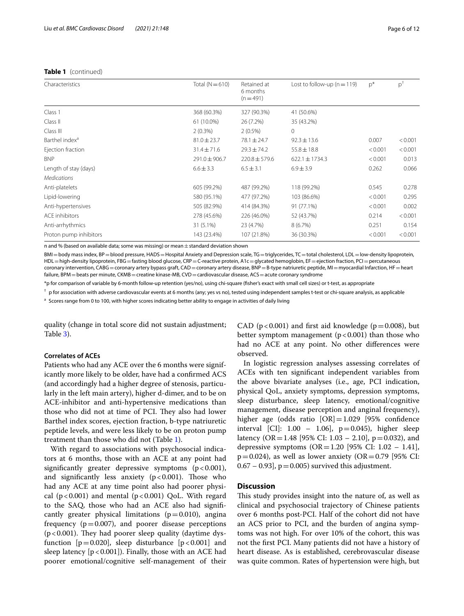## **Table 1** (continued)

|                            |                 | 6 months<br>$(n=491)$ |                    | $p^*$   | $p^{\dagger}$ |
|----------------------------|-----------------|-----------------------|--------------------|---------|---------------|
| Class 1                    | 368 (60.3%)     | 327 (90.3%)           | 41 (50.6%)         |         |               |
| Class II                   | 61 (10.0%)      | 26 (7.2%)             | 35 (43.2%)         |         |               |
| Class III                  | $2(0.3\%)$      | $2(0.5\%)$            | $\circ$            |         |               |
| Barthel index <sup>a</sup> | $81.0 \pm 23.7$ | $78.1 \pm 24.7$       | $92.3 \pm 13.6$    | 0.007   | < 0.001       |
| Ejection fraction          | $31.4 \pm 71.6$ | $29.3 \pm 74.2$       | $55.8 \pm 18.8$    | < 0.001 | < 0.001       |
| <b>BNP</b>                 | 291.0±906.7     | $220.8 \pm 579.6$     | $622.1 \pm 1734.3$ | < 0.001 | 0.013         |
| Length of stay (days)      | $6.6 \pm 3.3$   | $6.5 \pm 3.1$         | $6.9 \pm 3.9$      | 0.262   | 0.066         |
| <b>Medications</b>         |                 |                       |                    |         |               |
| Anti-platelets             | 605 (99.2%)     | 487 (99.2%)           | 118 (99.2%)        | 0.545   | 0.278         |
| Lipid-lowering             | 580 (95.1%)     | 477 (97.2%)           | 103 (86.6%)        | < 0.001 | 0.295         |
| Anti-hypertensives         | 505 (82.9%)     | 414 (84.3%)           | 91 (77.1%)         | < 0.001 | 0.002         |
| ACE inhibitors             | 278 (45.6%)     | 226 (46.0%)           | 52 (43.7%)         | 0.214   | < 0.001       |
| Anti-arrhythmics           | 31 (5.1%)       | 23 (4.7%)             | 8(6.7%)            | 0.251   | 0.154         |
| Proton pump inhibitors     | 143 (23.4%)     | 107 (21.8%)           | 36 (30.3%)         | < 0.001 | < 0.001       |

n and % (based on available data; some was missing) or mean $\pm$  standard deviation shown

BMI=body mass index, BP=blood pressure, HADS=Hospital Anxiety and Depression scale, TG=triglycerides, TC=total cholesterol, LDL=low-density lipoprotein, HDL=high-density lipoprotein, FBG=fasting blood glucose, CRP=C-reactive protein, A1c=glycated hemoglobin, EF=ejection fraction, PCI=percutaneous coronary intervention, CABG=coronary artery bypass graft, CAD=coronary artery disease, BNP=B-type natriuretic peptide, MI=myocardial Infarction, HF=heart failure, BPM = beats per minute, CKMB = creatine kinase-MB, CVD = cardiovascular disease, ACS = acute coronary syndrome

\*p for comparison of variable by 6-month follow-up retention (yes/no), using chi-square (fsher's exact with small cell sizes) or t-test, as appropriate

 $^{\dagger}$  p for association with adverse cardiovascular events at 6 months (any; yes vs no), tested using independent samples t-test or chi-square analysis, as applicable

<sup>a</sup> Scores range from 0 to 100, with higher scores indicating better ability to engage in activities of daily living

quality (change in total score did not sustain adjustment; Table [3](#page-7-0)).

## **Correlates of ACEs**

Patients who had any ACE over the 6 months were significantly more likely to be older, have had a confrmed ACS (and accordingly had a higher degree of stenosis, particularly in the left main artery), higher d-dimer, and to be on ACE-inhibitor and anti-hypertensive medications than those who did not at time of PCI. They also had lower Barthel index scores, ejection fraction, b-type natriuretic peptide levels, and were less likely to be on proton pump treatment than those who did not (Table [1\)](#page-4-0).

With regard to associations with psychosocial indicators at 6 months, those with an ACE at any point had significantly greater depressive symptoms  $(p < 0.001)$ , and significantly less anxiety  $(p < 0.001)$ . Those who had any ACE at any time point also had poorer physical ( $p < 0.001$ ) and mental ( $p < 0.001$ ) QoL. With regard to the SAQ, those who had an ACE also had signifcantly greater physical limitations  $(p=0.010)$ , angina frequency  $(p=0.007)$ , and poorer disease perceptions ( $p$ <0.001). They had poorer sleep quality (daytime dysfunction [ $p=0.020$ ], sleep disturbance [ $p<0.001$ ] and sleep latency  $[p < 0.001]$ ). Finally, those with an ACE had poorer emotional/cognitive self-management of their CAD ( $p < 0.001$ ) and first aid knowledge ( $p = 0.008$ ), but better symptom management  $(p < 0.001)$  than those who had no ACE at any point. No other diferences were observed.

In logistic regression analyses assessing correlates of ACEs with ten signifcant independent variables from the above bivariate analyses (i.e., age, PCI indication, physical QoL, anxiety symptoms, depression symptoms, sleep disturbance, sleep latency, emotional/cognitive management, disease perception and anginal frequency), higher age (odds ratio [OR]=1.029 [95% confidence interval [CI]:  $1.00 - 1.06$ ],  $p = 0.045$ ), higher sleep latency (OR = 1.48 [95% CI: 1.03 – 2.10], p = 0.032), and depressive symptoms  $(OR = 1.20)$  [95% CI: 1.02 – 1.41],  $p=0.024$ ), as well as lower anxiety (OR=0.79 [95% CI:  $(0.67 - 0.93]$ ,  $p = 0.005$ ) survived this adjustment.

## **Discussion**

This study provides insight into the nature of, as well as clinical and psychosocial trajectory of Chinese patients over 6 months post-PCI. Half of the cohort did not have an ACS prior to PCI, and the burden of angina symptoms was not high. For over 10% of the cohort, this was not the frst PCI. Many patients did not have a history of heart disease. As is established, cerebrovascular disease was quite common. Rates of hypertension were high, but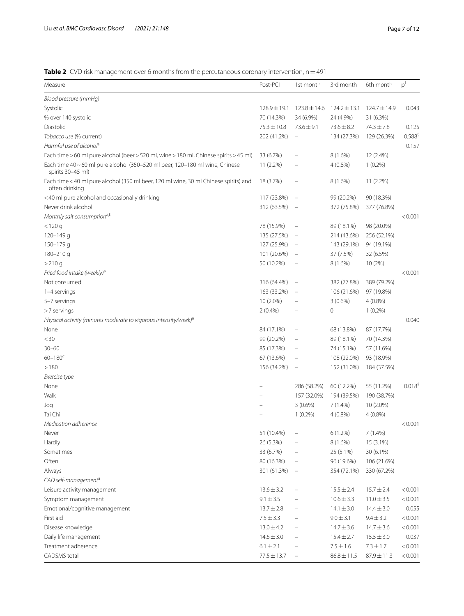<span id="page-6-0"></span>**Table 2** CVD risk management over 6 months from the percutaneous coronary intervention, n = 491

| Measure                                                                                                | Post-PCI         | 1st month                         | 3rd month        | 6th month        | $p^{I}$            |
|--------------------------------------------------------------------------------------------------------|------------------|-----------------------------------|------------------|------------------|--------------------|
| Blood pressure (mmHg)                                                                                  |                  |                                   |                  |                  |                    |
| Systolic                                                                                               | $128.9 \pm 19.1$ | $123.8 \pm 14.6$                  | $124.2 \pm 13.1$ | $124.7 \pm 14.9$ | 0.043              |
| % over 140 systolic                                                                                    | 70 (14.3%)       | 34 (6.9%)                         | 24 (4.9%)        | 31 (6.3%)        |                    |
| Diastolic                                                                                              | $75.3 \pm 10.8$  | $73.6 \pm 9.1$                    | $73.6 \pm 8.2$   | $74.3 \pm 7.8$   | 0.125              |
| Tobacco use (% current)                                                                                | 202 (41.2%)      | $\equiv$                          | 134 (27.3%)      | 129 (26.3%)      | 0.588 <sup>9</sup> |
| Harmful use of alcohol <sup>a</sup>                                                                    |                  |                                   |                  |                  | 0.157              |
| Each time > 60 ml pure alcohol (beer > 520 ml, wine > 180 ml, Chinese spirits > 45 ml)                 | 33 (6.7%)        | $\qquad \qquad -$                 | $8(1.6\%)$       | 12 (2.4%)        |                    |
| Each time 40~60 ml pure alcohol (350-520 ml beer, 120-180 ml wine, Chinese<br>spirits 30-45 ml)        | 11 (2.2%)        |                                   | $4(0.8\%)$       | $1(0.2\%)$       |                    |
| Each time < 40 ml pure alcohol (350 ml beer, 120 ml wine, 30 ml Chinese spirits) and<br>often drinking | 18 (3.7%)        | $\qquad \qquad -$                 | $8(1.6\%)$       | 11 (2.2%)        |                    |
| <40 ml pure alcohol and occasionally drinking                                                          | 117 (23.8%)      | $\qquad \qquad -$                 | 99 (20.2%)       | 90 (18.3%)       |                    |
| Never drink alcohol                                                                                    | 312 (63.5%)      | $\hspace{1.0cm} - \hspace{1.0cm}$ | 372 (75.8%)      | 377 (76.8%)      |                    |
| Monthly salt consumption <sup>a,b</sup>                                                                |                  |                                   |                  |                  | < 0.001            |
| $<$ 120 g                                                                                              | 78 (15.9%)       | $\qquad \qquad -$                 | 89 (18.1%)       | 98 (20.0%)       |                    |
| $120 - 149$ g                                                                                          | 135 (27.5%)      | $\overline{\phantom{a}}$          | 214 (43.6%)      | 256 (52.1%)      |                    |
| $150 - 179$ q                                                                                          | 127 (25.9%)      | $\overline{\phantom{a}}$          | 143 (29.1%)      | 94 (19.1%)       |                    |
| $180 - 210q$                                                                                           | 101 (20.6%)      | $\overline{\phantom{a}}$          | 37 (7.5%)        | 32 (6.5%)        |                    |
| >210 g                                                                                                 | 50 (10.2%)       | $\qquad \qquad -$                 | $8(1.6\%)$       | 10 (2%)          |                    |
| Fried food intake (weekly) <sup>a</sup>                                                                |                  |                                   |                  |                  | < 0.001            |
| Not consumed                                                                                           | 316 (64.4%)      | $\overline{\phantom{0}}$          | 382 (77.8%)      | 389 (79.2%)      |                    |
| 1-4 servings                                                                                           | 163 (33.2%)      | $\qquad \qquad -$                 | 106 (21.6%)      | 97 (19.8%)       |                    |
| 5-7 servings                                                                                           | 10 (2.0%)        | $\qquad \qquad -$                 | $3(0.6\%)$       | $4(0.8\%)$       |                    |
| $>$ 7 servings                                                                                         | 2(0.4%)          |                                   | 0                | $1(0.2\%)$       |                    |
| Physical activity (minutes moderate to vigorous intensity/week) <sup>a</sup>                           |                  |                                   |                  |                  | 0.040              |
| None                                                                                                   | 84 (17.1%)       | $\qquad \qquad -$                 | 68 (13.8%)       | 87 (17.7%)       |                    |
| $<$ 30                                                                                                 | 99 (20.2%)       | $\qquad \qquad -$                 | 89 (18.1%)       | 70 (14.3%)       |                    |
| $30 - 60$                                                                                              |                  | $\overline{a}$                    |                  | 57 (11.6%)       |                    |
| $60 - 180^c$                                                                                           | 85 (17.3%)       |                                   | 74 (15.1%)       |                  |                    |
|                                                                                                        | 67 (13.6%)       | $\qquad \qquad -$                 | 108 (22.0%)      | 93 (18.9%)       |                    |
| >180                                                                                                   | 156 (34.2%)      | $\qquad \qquad =$                 | 152 (31.0%)      | 184 (37.5%)      |                    |
| Exercise type                                                                                          |                  |                                   |                  |                  |                    |
| None                                                                                                   |                  | 286 (58.2%)                       | 60 (12.2%)       | 55 (11.2%)       | 0.018 <sup>5</sup> |
| Walk                                                                                                   |                  | 157 (32.0%)                       | 194 (39.5%)      | 190 (38.7%)      |                    |
| Jog                                                                                                    |                  | $3(0.6\%)$                        | $7(1.4\%)$       | 10 (2.0%)        |                    |
| Tai Chi                                                                                                |                  | $1(0.2\%)$                        | $4(0.8\%)$       | $4(0.8\%)$       |                    |
| Medication adherence                                                                                   |                  |                                   |                  |                  | < 0.001            |
| Never                                                                                                  | 51 (10.4%)       |                                   | 6(1.2%)          | $7(1.4\%)$       |                    |
| Hardly                                                                                                 | 26 (5.3%)        |                                   | $8(1.6\%)$       | 15 (3.1%)        |                    |
| Sometimes                                                                                              | 33 (6.7%)        | $\qquad \qquad -$                 | 25 (5.1%)        | 30 (6.1%)        |                    |
| Often                                                                                                  | 80 (16.3%)       | $\qquad \qquad -$                 | 96 (19.6%)       | 106 (21.6%)      |                    |
| Always                                                                                                 | 301 (61.3%)      | $\qquad \qquad -$                 | 354 (72.1%)      | 330 (67.2%)      |                    |
| CAD self-management <sup>a</sup>                                                                       |                  |                                   |                  |                  |                    |
| Leisure activity management                                                                            | $13.6 \pm 3.2$   | $\qquad \qquad -$                 | $15.5 \pm 2.4$   | $15.7 \pm 2.4$   | < 0.001            |
| Symptom management                                                                                     | $9.1 \pm 3.5$    |                                   | $10.6 \pm 3.3$   | $11.0 \pm 3.5$   | < 0.001            |
| Emotional/cognitive management                                                                         | $13.7 \pm 2.8$   | $\qquad \qquad -$                 | $14.1 \pm 3.0$   | $14.4 \pm 3.0$   | 0.055              |
| First aid                                                                                              | $7.5 \pm 3.3$    | $\qquad \qquad -$                 | $9.0 \pm 3.1$    | $9.4 \pm 3.2$    | < 0.001            |
| Disease knowledge                                                                                      | $13.0 \pm 4.2$   | $\qquad \qquad -$                 | $14.7 \pm 3.6$   | $14.7 \pm 3.6$   | < 0.001            |
| Daily life management                                                                                  | $14.6 \pm 3.0$   | $\qquad \qquad -$                 | $15.4 \pm 2.7$   | $15.5 \pm 3.0$   | 0.037              |
| Treatment adherence                                                                                    | $6.1 \pm 2.1$    | $\qquad \qquad -$                 | $7.5 \pm 1.6$    | $7.3 \pm 1.7$    | < 0.001            |
| <b>CADSMS</b> total                                                                                    | $77.5 \pm 13.7$  | $\qquad \qquad -$                 | $86.8 \pm 11.5$  | $87.9 \pm 11.3$  | < 0.001            |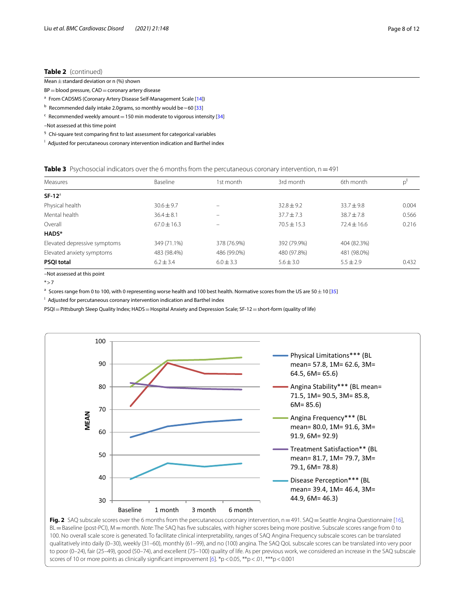## **Table 2** (continued)

| Mean $\pm$ standard deviation or n (%) shown |  |
|----------------------------------------------|--|
|                                              |  |

 $BP = blood pressure, CAD = coronary artery disease$ 

<sup>a</sup> From CADSMS (Coronary Artery Disease Self-Management Scale [\[14](#page-10-13)])

 $<sup>b</sup>$  Recommended daily intake 2.0grams, so monthly would be ~60 [[33](#page-11-2)]</sup>

 $c$  Recommended weekly amount = 150 min moderate to vigorous intensity [\[34](#page-11-3)]

–Not assessed at this time point

§ Chi-square test comparing frst to last assessment for categorical variables

<sup>1</sup> Adjusted for percutaneous coronary intervention indication and Barthel index

## <span id="page-7-0"></span>**Table 3** Psychosocial indicators over the 6 months from the percutaneous coronary intervention, n=491

| Measures                     | Baseline        | 1st month     | 3rd month       | 6th month       | p'    |
|------------------------------|-----------------|---------------|-----------------|-----------------|-------|
| $SF-12a$                     |                 |               |                 |                 |       |
| Physical health              | $30.6 \pm 9.7$  | -             | $32.8 + 9.2$    | $33.7 + 9.8$    | 0.004 |
| Mental health                | $36.4 + 8.1$    |               | $37.7 + 7.3$    | $38.7 + 7.8$    | 0.566 |
| Overall                      | $67.0 \pm 16.3$ |               | $70.5 \pm 15.3$ | $72.4 \pm 16.6$ | 0.216 |
| HADS*                        |                 |               |                 |                 |       |
| Elevated depressive symptoms | 349 (71.1%)     | 378 (76.9%)   | 392 (79.9%)     | 404 (82.3%)     |       |
| Elevated anxiety symptoms    | 483 (98.4%)     | 486 (99.0%)   | 480 (97.8%)     | 481 (98.0%)     |       |
| <b>PSQI total</b>            | $6.2 \pm 3.4$   | $6.0 \pm 3.3$ | $5.6 \pm 3.0$   | $5.5 \pm 2.9$   | 0.432 |

–Not assessed at this point

\*>7

<sup>a</sup> Scores range from 0 to 100, with 0 representing worse health and 100 best health. Normative scores from the US are 50 $\pm$ 10 [[35\]](#page-11-4)

<sup>1</sup> Adjusted for percutaneous coronary intervention indication and Barthel index

PSQI = Pittsburgh Sleep Quality Index; HADS = Hospital Anxiety and Depression Scale; SF-12 = short-form (quality of life)



<span id="page-7-1"></span>Fig. 2 SAQ subscale scores over the 6 months from the percutaneous coronary intervention,  $n = 491$ . SAQ = Seattle Angina Questionnaire [\[16](#page-10-15)], BL=Baseline (post-PCI), M=month. *Note*: The SAQ has fve subscales, with higher scores being more positive. Subscale scores range from 0 to 100. No overall scale score is generated. To facilitate clinical interpretability, ranges of SAQ Angina Frequency subscale scores can be translated qualitatively into daily (0–30), weekly (31–60), monthly (61–99), and no (100) angina. The SAQ QoL subscale scores can be translated into very poor to poor (0–24), fair (25–49), good (50–74), and excellent (75–100) quality of life. As per previous work, we considered an increase in the SAQ subscale scores of 10 or more points as clinically significant improvement  $[6]$  $[6]$ . \*p<0.05, \*\*p<0.1, \*\*\*p<0.001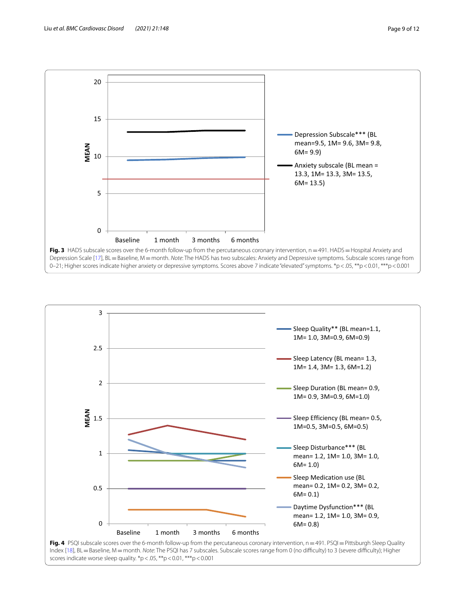

<span id="page-8-0"></span>

<span id="page-8-1"></span>Fig. 4 PSQI subscale scores over the 6-month follow-up from the percutaneous coronary intervention, n=491. PSQI=Pittsburgh Sleep Quality Index [[18](#page-11-1)], BL = Baseline, M = month. Note: The PSQI has 7 subscales. Subscale scores range from 0 (no difficulty) to 3 (severe difficulty); Higher scores indicate worse sleep quality. \*p <. 05, \*\*p < 0.01, \*\*\*p < 0.001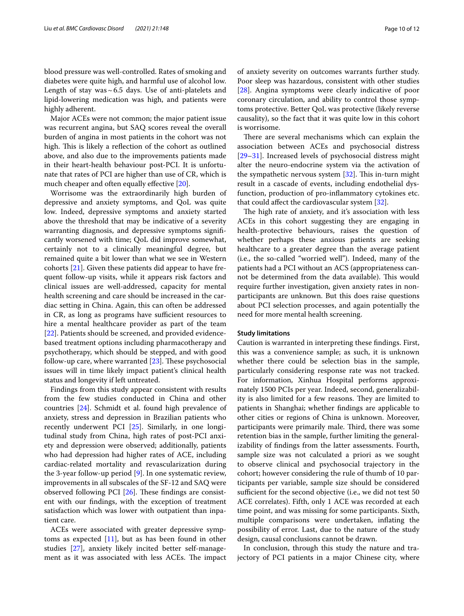blood pressure was well-controlled. Rates of smoking and diabetes were quite high, and harmful use of alcohol low. Length of stay was $\sim 6.5$  days. Use of anti-platelets and lipid-lowering medication was high, and patients were highly adherent.

Major ACEs were not common; the major patient issue was recurrent angina, but SAQ scores reveal the overall burden of angina in most patients in the cohort was not high. This is likely a reflection of the cohort as outlined above, and also due to the improvements patients made in their heart-health behaviour post-PCI. It is unfortunate that rates of PCI are higher than use of CR, which is much cheaper and often equally effective [\[20\]](#page-11-5).

Worrisome was the extraordinarily high burden of depressive and anxiety symptoms, and QoL was quite low. Indeed, depressive symptoms and anxiety started above the threshold that may be indicative of a severity warranting diagnosis, and depressive symptoms signifcantly worsened with time; QoL did improve somewhat, certainly not to a clinically meaningful degree, but remained quite a bit lower than what we see in Western cohorts [[21](#page-11-6)]. Given these patients did appear to have frequent follow-up visits, while it appears risk factors and clinical issues are well-addressed, capacity for mental health screening and care should be increased in the cardiac setting in China. Again, this can often be addressed in CR, as long as programs have sufficient resources to hire a mental healthcare provider as part of the team [[22\]](#page-11-7). Patients should be screened, and provided evidencebased treatment options including pharmacotherapy and psychotherapy, which should be stepped, and with good follow-up care, where warranted  $[23]$  $[23]$ . These psychosocial issues will in time likely impact patient's clinical health status and longevity if left untreated.

Findings from this study appear consistent with results from the few studies conducted in China and other countries [\[24\]](#page-11-9). Schmidt et al. found high prevalence of anxiety, stress and depression in Brazilian patients who recently underwent PCI [[25\]](#page-11-10). Similarly, in one longitudinal study from China, high rates of post-PCI anxiety and depression were observed; additionally, patients who had depression had higher rates of ACE, including cardiac-related mortality and revascularization during the 3-year follow-up period [[9\]](#page-10-8). In one systematic review, improvements in all subscales of the SF-12 and SAQ were observed following PCI  $[26]$ . These findings are consistent with our fndings, with the exception of treatment satisfaction which was lower with outpatient than inpatient care.

ACEs were associated with greater depressive symptoms as expected [\[11](#page-10-10)], but as has been found in other studies [\[27](#page-11-12)], anxiety likely incited better self-management as it was associated with less ACEs. The impact

of anxiety severity on outcomes warrants further study. Poor sleep was hazardous, consistent with other studies [[28\]](#page-11-13). Angina symptoms were clearly indicative of poor coronary circulation, and ability to control those symptoms protective. Better QoL was protective (likely reverse causality), so the fact that it was quite low in this cohort is worrisome.

There are several mechanisms which can explain the association between ACEs and psychosocial distress [[29–](#page-11-14)[31\]](#page-11-15). Increased levels of psychosocial distress might alter the neuro-endocrine system via the activation of the sympathetic nervous system  $[32]$  $[32]$ . This in-turn might result in a cascade of events, including endothelial dysfunction, production of pro-infammatory cytokines etc. that could afect the cardiovascular system [[32\]](#page-11-16).

The high rate of anxiety, and it's association with less ACEs in this cohort suggesting they are engaging in health-protective behaviours, raises the question of whether perhaps these anxious patients are seeking healthcare to a greater degree than the average patient (i.e., the so-called "worried well"). Indeed, many of the patients had a PCI without an ACS (appropriateness cannot be determined from the data available). This would require further investigation, given anxiety rates in nonparticipants are unknown. But this does raise questions about PCI selection processes, and again potentially the need for more mental health screening.

#### **Study limitations**

Caution is warranted in interpreting these fndings. First, this was a convenience sample; as such, it is unknown whether there could be selection bias in the sample, particularly considering response rate was not tracked. For information, Xinhua Hospital performs approximately 1500 PCIs per year. Indeed, second, generalizability is also limited for a few reasons. They are limited to patients in Shanghai; whether fndings are applicable to other cities or regions of China is unknown. Moreover, participants were primarily male. Third, there was some retention bias in the sample, further limiting the generalizability of fndings from the latter assessments. Fourth, sample size was not calculated a priori as we sought to observe clinical and psychosocial trajectory in the cohort; however considering the rule of thumb of 10 participants per variable, sample size should be considered sufficient for the second objective (i.e., we did not test 50 ACE correlates). Fifth, only 1 ACE was recorded at each time point, and was missing for some participants. Sixth, multiple comparisons were undertaken, infating the possibility of error. Last, due to the nature of the study design, causal conclusions cannot be drawn.

In conclusion, through this study the nature and trajectory of PCI patients in a major Chinese city, where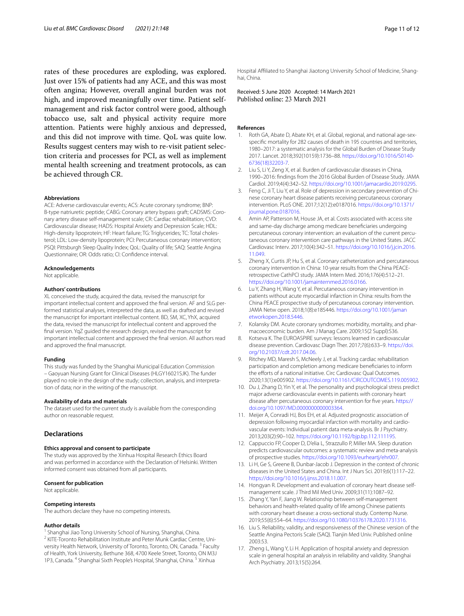rates of these procedures are exploding, was explored. Just over 15% of patients had any ACE, and this was most often angina; However, overall anginal burden was not high, and improved meaningfully over time. Patient selfmanagement and risk factor control were good, although tobacco use, salt and physical activity require more attention. Patients were highly anxious and depressed, and this did not improve with time. QoL was quite low. Results suggest centers may wish to re-visit patient selection criteria and processes for PCI, as well as implement mental health screening and treatment protocols, as can be achieved through CR.

#### **Abbreviations**

ACE: Adverse cardiovascular events; ACS: Acute coronary syndrome; BNP: B-type natriuretic peptide; CABG: Coronary artery bypass graft; CADSMS: Coronary artery disease self-management scale; CR: Cardiac rehabilitation; CVD: Cardiovascular disease; HADS: Hospital Anxiety and Depression Scale; HDL: High-density lipoprotein; HF: Heart failure; TG: Triglycerides; TC: Total cholesterol; LDL: Low-density lipoprotein; PCI: Percutaneous coronary intervention; PSQI: Pittsburgh Sleep Quality Index; QoL: Quality of life; SAQ: Seattle Angina Questionnaire; OR: Odds ratio; CI: Confdence interval.

#### **Acknowledgements**

Not applicable.

#### **Authors' contributions**

XL conceived the study, acquired the data, revised the manuscript for important intellectual content and approved the fnal version. AF and SLG performed statistical analyses, interpreted the data, as well as drafted and revised the manuscript for important intellectual content. BD, SM, XC, YhX, acquired the data, revised the manuscript for intellectual content and approved the fnal version. YqZ guided the research design, revised the manuscript for important intellectual content and approved the fnal version. All authors read and approved the fnal manuscript.

#### **Funding**

This study was funded by the Shanghai Municipal Education Commission – Gaoyuan Nursing Grant for Clinical Diseases (HLGY16021SJK). The funder played no role in the design of the study; collection, analysis, and interpretation of data; nor in the writing of the manuscript.

#### **Availability of data and materials**

The dataset used for the current study is available from the corresponding author on reasonable request.

## **Declarations**

#### **Ethics approval and consent to participate**

The study was approved by the Xinhua Hospital Research Ethics Board and was performed in accordance with the Declaration of Helsinki. Written informed consent was obtained from all participants.

## **Consent for publication**

Not applicable.

#### **Competing interests**

The authors declare they have no competing interests.

#### **Author details**

<sup>1</sup> Shanghai Jiao Tong University School of Nursing, Shanghai, China.<br><sup>2</sup> KITE-Toronto Rehabilitation Institute and Peter Munk Cardiac Centre, University Health Network, University of Toronto, Toronto, ON, Canada.<sup>3</sup> Faculty of Health, York University, Bethune 368, 4700 Keele Street, Toronto, ON M3J 1P3, Canada. 4 Shanghai Sixth People's Hospital, Shanghai, China. 5 Xinhua

Hospital Afliated to Shanghai Jiaotong University School of Medicine, Shanghai, China.

Received: 5 June 2020 Accepted: 14 March 2021<br>Published online: 23 March 2021

### **References**

- <span id="page-10-0"></span>1. Roth GA, Abate D, Abate KH, et al. Global, regional, and national age-sexspecifc mortality for 282 causes of death in 195 countries and territories, 1980–2017: a systematic analysis for the Global Burden of Disease Study 2017. Lancet. 2018;392(10159):1736–88. [https://doi.org/10.1016/S0140-](https://doi.org/10.1016/S0140-6736(18)32203-7) [6736\(18\)32203-7.](https://doi.org/10.1016/S0140-6736(18)32203-7)
- <span id="page-10-1"></span>2. Liu S, Li Y, Zeng X, et al. Burden of cardiovascular diseases in China, 1990–2016: fndings from the 2016 Global Burden of Disease Study. JAMA Cardiol. 2019;4(4):342–52. [https://doi.org/10.1001/jamacardio.2019.0295.](https://doi.org/10.1001/jamacardio.2019.0295)
- <span id="page-10-2"></span>3. Feng C, Ji T, Liu Y, et al. Role of depression in secondary prevention of Chinese coronary heart disease patients receiving percutaneous coronary intervention. PLoS ONE. 2017;12(12):e0187016. [https://doi.org/10.1371/](https://doi.org/10.1371/journal.pone.0187016) [journal.pone.0187016](https://doi.org/10.1371/journal.pone.0187016).
- <span id="page-10-3"></span>4. Amin AP, Patterson M, House JA, et al. Costs associated with access site and same-day discharge among medicare benefciaries undergoing percutaneous coronary intervention: an evaluation of the current percutaneous coronary intervention care pathways in the United States. JACC Cardiovasc Interv. 2017;10(4):342–51. [https://doi.org/10.1016/j.jcin.2016.](https://doi.org/10.1016/j.jcin.2016.11.049) [11.049](https://doi.org/10.1016/j.jcin.2016.11.049).
- <span id="page-10-4"></span>5. Zheng X, Curtis JP, Hu S, et al. Coronary catheterization and percutaneous coronary intervention in China: 10-year results from the China PEACEretrospective CathPCI study. JAMA Intern Med. 2016;176(4):512–21. [https://doi.org/10.1001/jamainternmed.2016.0166.](https://doi.org/10.1001/jamainternmed.2016.0166)
- <span id="page-10-5"></span>6. Lu Y, Zhang H, Wang Y, et al. Percutaneous coronary intervention in patients without acute myocardial infarction in China: results from the China PEACE prospective study of percutaneous coronary intervention. JAMA Netw open. 2018;1(8):e185446. [https://doi.org/10.1001/jaman](https://doi.org/10.1001/jamanetworkopen.2018.5446) [etworkopen.2018.5446](https://doi.org/10.1001/jamanetworkopen.2018.5446)
- <span id="page-10-6"></span>7. Kolansky DM. Acute coronary syndromes: morbidity, mortality, and pharmacoeconomic burden. Am J Manag Care. 2009;15(2 Suppl):S36.
- <span id="page-10-7"></span>8. Kotseva K. The EUROASPIRE surveys: lessons learned in cardiovascular disease prevention. Cardiovasc Diagn Ther. 2017;7(6):633–9. [https://doi.](https://doi.org/10.21037/cdt.2017.04.06) [org/10.21037/cdt.2017.04.06](https://doi.org/10.21037/cdt.2017.04.06).
- <span id="page-10-8"></span>9. Ritchey MD, Maresh S, McNeely J, et al. Tracking cardiac rehabilitation participation and completion among medicare benefciaries to inform the efforts of a national initiative. Circ Cardiovasc Qual Outcomes. 2020;13(1):e005902. [https://doi.org/10.1161/CIRCOUTCOMES.119.005902.](https://doi.org/10.1161/CIRCOUTCOMES.119.005902)
- <span id="page-10-9"></span>10. Du J, Zhang D, Yin Y, et al. The personality and psychological stress predict major adverse cardiovascular events in patients with coronary heart disease after percutaneous coronary intervention for fve years. [https://](https://doi.org/10.1097/MD.0000000000003364) [doi.org/10.1097/MD.0000000000003364.](https://doi.org/10.1097/MD.0000000000003364)
- <span id="page-10-10"></span>11. Meijer A, Conradi HJ, Bos EH, et al. Adjusted prognostic association of depression following myocardial infarction with mortality and cardiovascular events: Individual patient data meta-analysis. Br J Psychiatry. 2013;203(2):90–102. <https://doi.org/10.1192/bjp.bp.112.111195>.
- <span id="page-10-11"></span>12. Cappuccio FP, Cooper D, D'elia L, Strazzullo P, Miller MA. Sleep duration predicts cardiovascular outcomes: a systematic review and meta-analysis of prospective studies. [https://doi.org/10.1093/eurheartj/ehr007.](https://doi.org/10.1093/eurheartj/ehr007)
- <span id="page-10-12"></span>13. Li H, Ge S, Greene B, Dunbar-Jacob J. Depression in the context of chronic diseases in the United States and China. Int J Nurs Sci. 2019;6(1):117–22. [https://doi.org/10.1016/j.ijnss.2018.11.007.](https://doi.org/10.1016/j.ijnss.2018.11.007)
- <span id="page-10-13"></span>14. Hongyan R. Development and evaluation of coronary heart disease selfmanagement scale. J Third Mil Med Univ. 2009;31(11):1087–92.
- <span id="page-10-14"></span>15. Zhang Y, Yan F, Jiang W. Relationship between self-management behaviors and health-related quality of life among Chinese patients with coronary heart disease: a cross-sectional study. Contemp Nurse. 2019;55(6):554–64. [https://doi.org/10.1080/10376178.2020.1731316.](https://doi.org/10.1080/10376178.2020.1731316)
- <span id="page-10-15"></span>16. Liu S. Reliability, validity, and responsiveness of the Chinese version of the Seattle Angina Pectoris Scale (SAQ). Tianjin Med Univ. Published online 2003:53.
- <span id="page-10-16"></span>17. Zheng L, Wang Y, Li H. Application of hospital anxiety and depression scale in general hospital an analysis in reliability and validity. Shanghai Arch Psychiatry. 2013;15(5):264.